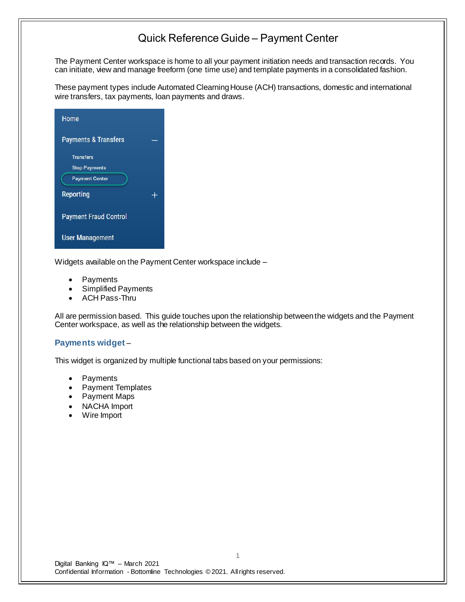The Payment Center workspace is home to all your payment initiation needs and transaction records. You can initiate, view and manage freeform (one time use) and template payments in a consolidated fashion.

These payment types include Automated Clearning House (ACH) transactions, domestic and international wire transfers, tax payments, loan payments and draws.

| Home                            |   |
|---------------------------------|---|
| <b>Payments &amp; Transfers</b> |   |
| <b>Transfers</b>                |   |
| <b>Stop Payments</b>            |   |
| <b>Payment Center</b>           |   |
| Reporting                       | ┶ |
| <b>Payment Fraud Control</b>    |   |
| <b>User Management</b>          |   |

Widgets available on the Payment Center workspace include –

- **Payments**
- Simplified Payments
- ACH Pass-Thru

All are permission based. This guide touches upon the relationship between the widgets and the Payment Center workspace, as well as the relationship between the widgets.

#### **Payments widget** –

This widget is organized by multiple functional tabs based on your permissions:

- Payments
- Payment Templates
- Payment Maps
- NACHA Import
- Wire Import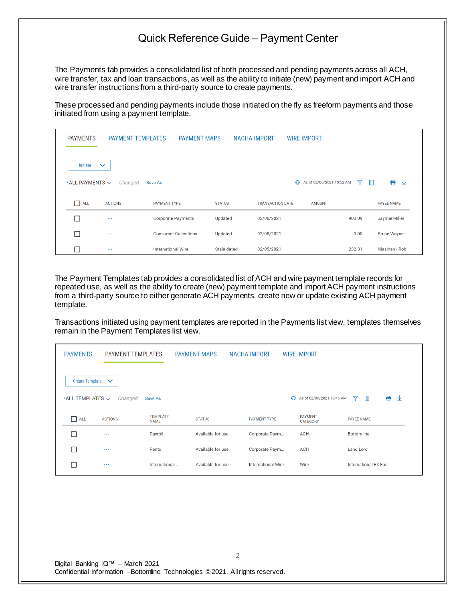The Payments tab provides a consolidated list of both processed and pending payments across all ACH, wire transfer, tax and loan transactions, as well as the ability to initiate (new) payment and import ACH and wire transfer instructions from a third-party source to create payments.

These processed and pending payments include those initiated on the fly as freeform payments and those initiated from using a payment template.

| <b>PAYMENTS</b>                      | <b>PAYMENT TEMPLATES</b> | <b>PAYMENT MAPS</b>         |               | <b>NACHA IMPORT</b>     | <b>WIRE IMPORT</b>          |                   |                   |
|--------------------------------------|--------------------------|-----------------------------|---------------|-------------------------|-----------------------------|-------------------|-------------------|
| Initiate                             | $\checkmark$             |                             |               |                         |                             |                   |                   |
| $\bullet$ ALL PAYMENTS $\smallsmile$ | Changed                  | Save As                     |               |                         | ← As of 02/06/2021 10:52 AM | $\mathbb{I}$<br>7 | ⊖<br>⊻            |
| П<br>ALL                             | <b>ACTIONS</b>           | <b>PAYMENT TYPE</b>         | <b>STATUS</b> | <b>TRANSACTION DATE</b> | <b>AMOUNT</b>               |                   | <b>PAYEE NAME</b> |
| $\Box$                               | $\sim$ $\sim$            | Corporate Payments          | Updated       | 02/08/2021              |                             | 900.09            | Jaymie Miller     |
| □                                    | $\cdots$                 | <b>Consumer Collections</b> | Updated       | 02/08/2021              |                             | 0.00              | Bruce Wayne -     |
| П                                    | $\sim$ $\sim$ $\sim$     | International Wire          | Stale dated   | 02/05/2021              |                             | 232.31            | Nissinan - Rob    |

The Payment Templates tab provides a consolidated list of ACH and wire payment template records for repeated use, as well as the ability to create (new) payment template and import ACH payment instructions from a third-party source to either generate ACH payments, create new or update existing ACH payment template.

Transactions initiated using payment templates are reported in the Payments list view, templates themselves remain in the Payment Templates list view.

| <b>PAYMENTS</b>                             | <b>PAYMENT TEMPLATES</b> |                 | <b>PAYMENT MAPS</b> | <b>NACHA IMPORT</b> | <b>WIRE IMPORT</b>                |                                     |
|---------------------------------------------|--------------------------|-----------------|---------------------|---------------------|-----------------------------------|-------------------------------------|
| Create Template $\vee$                      |                          |                 |                     |                     |                                   |                                     |
| $\boldsymbol{\cdot}$ ALL TEMPLATES $\smile$ | Changed                  | Save As         |                     |                     | ← As of 02/06/2021 10:46 AM       | $\ddot{\phantom{1}}$<br>m<br>Y<br>⊻ |
| $\Box$ ALL                                  | <b>ACTIONS</b>           | <b>TEMPLATE</b> |                     |                     |                                   |                                     |
|                                             |                          | <b>NAME</b>     | <b>STATUS</b>       | <b>PAYMENT TYPE</b> | <b>PAYMENT</b><br><b>CATEGORY</b> | PAYEE NAME                          |
|                                             | $\cdots$                 | Payroll         | Available for use   | Corporate Paym      | ACH                               | Bottomline                          |
|                                             | $\cdots$                 | Rents           | Available for use   | Corporate Paym      | ACH                               | Land Lord                           |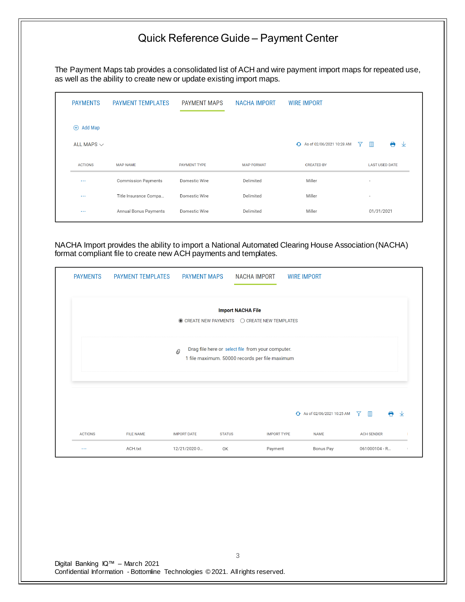The Payment Maps tab provides a consolidated list of ACH and wire payment import maps for repeated use, as well as the ability to create new or update existing import maps.

| <b>PAYMENTS</b>        | <b>PAYMENT TEMPLATES</b>   | <b>PAYMENT MAPS</b> | <b>NACHA IMPORT</b> | <b>WIRE IMPORT</b>          |                               |
|------------------------|----------------------------|---------------------|---------------------|-----------------------------|-------------------------------|
| Add Map<br>$\bigoplus$ |                            |                     |                     |                             |                               |
| ALL MAPS $\vee$        |                            |                     |                     | + As of 02/06/2021 10:28 AM | A<br>$\blacksquare$<br>7<br>业 |
| <b>ACTIONS</b>         | <b>MAP NAME</b>            | <b>PAYMENT TYPE</b> | <b>MAP FORMAT</b>   | <b>CREATED BY</b>           | <b>LAST USED DATE</b>         |
| $\cdots$               | <b>Commission Payments</b> | Domestic Wire       | Delimited           | Miller                      | $\blacksquare$                |
| $\cdots$               | Title Insurance Compa      | Domestic Wire       | Delimited           | Miller                      | $\overline{\phantom{a}}$      |
| $\sim$ $\sim$ $\sim$   | Annual Bonus Payments      | Domestic Wire       | Delimited           | Miller                      | 01/31/2021                    |
|                        |                            |                     |                     |                             |                               |

NACHA Import provides the ability to import a National Automated Clearing House Association (NACHA) format compliant file to create new ACH payments and templates.

| <b>PAYMENTS</b> | <b>PAYMENT TEMPLATES</b> | <b>PAYMENT MAPS</b> | <b>NACHA IMPORT</b>                                                                                 |                    | <b>WIRE IMPORT</b>           |                                 |   |
|-----------------|--------------------------|---------------------|-----------------------------------------------------------------------------------------------------|--------------------|------------------------------|---------------------------------|---|
|                 |                          |                     | <b>Import NACHA File</b><br>$\odot$ CREATE NEW PAYMENTS $\odot$ CREATE NEW TEMPLATES                |                    |                              |                                 |   |
|                 |                          | $^{\mathcal{O}}$    | Drag file here or select file from your computer.<br>1 file maximum. 50000 records per file maximum |                    |                              |                                 |   |
|                 |                          |                     |                                                                                                     |                    | +3 As of 02/06/2021 10:25 AM | $\mathbb{m}$<br>$\triangledown$ | 业 |
| <b>ACTIONS</b>  | <b>FILE NAME</b>         | <b>IMPORT DATE</b>  | <b>STATUS</b>                                                                                       | <b>IMPORT TYPE</b> | <b>NAME</b>                  | <b>ACH SENDER</b>               |   |
| $\ldots$        | ACH.txt                  | 12/21/2020 0        | OK                                                                                                  | Payment            | Bonus Pay                    | 061000104 - R                   |   |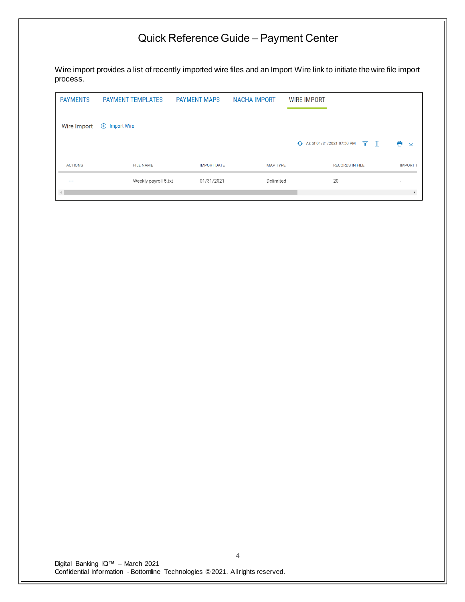Wire import provides a list of recently imported wire files and an Import Wire link to initiate the wire file import process.

| <b>PAYMENTS</b> | <b>PAYMENT TEMPLATES</b>          | <b>PAYMENT MAPS</b> | <b>NACHA IMPORT</b> | <b>WIRE IMPORT</b>                                |                          |
|-----------------|-----------------------------------|---------------------|---------------------|---------------------------------------------------|--------------------------|
| Wire Import     | <b>Import Wire</b><br>$\bigoplus$ |                     |                     |                                                   |                          |
|                 |                                   |                     |                     | $\mathbb{m}$<br>← As of 01/31/2021 07:50 PM<br>77 | ⊖<br>业                   |
| <b>ACTIONS</b>  | <b>FILE NAME</b>                  | <b>IMPORT DATE</b>  | <b>MAP TYPE</b>     | <b>RECORDS IN FILE</b>                            | <b>IMPORT</b>            |
| $\cdots$        | Weekly payroll 5.txt              | 01/31/2021          | Delimited           | 20                                                | $\overline{\phantom{a}}$ |
| $\rightarrow$   |                                   |                     |                     |                                                   |                          |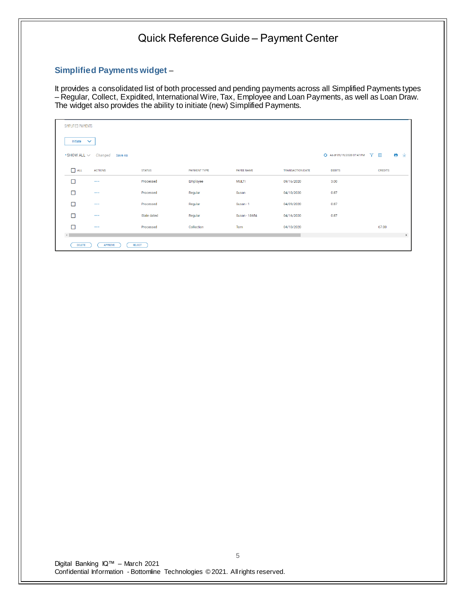#### **Simplified Payments widget** –

It provides a consolidated list of both processed and pending payments across all Simplified Payments types – Regular, Collect, Expidited, International Wire, Tax, Employee and Loan Payments, as well as Loan Draw. The widget also provides the ability to initiate (new) Simplified Payments.

| SIMPLIFIED PAYMENTS |                                 |               |                     |                   |                         |                             |                |                       |
|---------------------|---------------------------------|---------------|---------------------|-------------------|-------------------------|-----------------------------|----------------|-----------------------|
| Initiate $\vee$     |                                 |               |                     |                   |                         |                             |                |                       |
|                     | . SHOW ALL ∨ Changed Save As    |               |                     |                   |                         | + As of 09/19/2020 07:47 PM | Y III          | e<br>工业               |
| $\Box$ ALL          | <b>ACTIONS</b>                  | <b>STATUS</b> | <b>PAYMENT TYPE</b> | <b>PAYEE NAME</b> | <b>TRANSACTION DATE</b> | <b>DEBITS</b>               | <b>CREDITS</b> |                       |
| □                   | $\sim$ $\sim$                   | Processed     | Employee            | <b>MULTI</b>      | 09/16/2020              | 3.00                        |                |                       |
| □                   | $\ldots$                        | Processed     | Regular             | Susan             | 04/10/2020              | 0.87                        |                |                       |
| □                   | $\cdots$                        | Processed     | Regular             | Susan - 1         | 04/09/2020              | 0.87                        |                |                       |
| $\Box$              | $\ldots$                        | Stale dated   | Regular             | Susan - 18654     | 04/16/2020              | 0.87                        |                |                       |
| п                   | $\cdots$                        | Processed     | Collection          | Tom               | 04/10/2020              |                             | 67.00          |                       |
|                     |                                 |               |                     |                   |                         |                             |                | $\blacktriangleright$ |
| DELETE              | <b>APPROVE</b><br><b>REJECT</b> |               |                     |                   |                         |                             |                |                       |